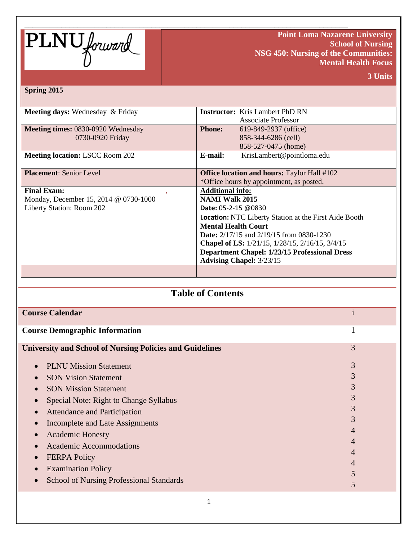

**Point Loma Nazarene University School of Nursing NSG 450: Nursing of the Communities: Mental Health Focus**

**3 Units**

#### **Spring 2015**

| <b>Meeting days:</b> Wednesday & Friday | <b>Instructor:</b> Kris Lambert PhD RN                       |  |  |
|-----------------------------------------|--------------------------------------------------------------|--|--|
|                                         | <b>Associate Professor</b>                                   |  |  |
| Meeting times: 0830-0920 Wednesday      | <b>Phone:</b><br>619-849-2937 (office)                       |  |  |
| 0730-0920 Friday                        | 858-344-6286 (cell)                                          |  |  |
|                                         | 858-527-0475 (home)                                          |  |  |
| <b>Meeting location: LSCC Room 202</b>  | KrisLambert@pointloma.edu<br>E-mail:                         |  |  |
|                                         |                                                              |  |  |
| <b>Placement: Senior Level</b>          | <b>Office location and hours: Taylor Hall #102</b>           |  |  |
|                                         | *Office hours by appointment, as posted.                     |  |  |
| <b>Final Exam:</b>                      | <b>Additional info:</b>                                      |  |  |
| Monday, December 15, 2014 @ 0730-1000   | <b>NAMI Walk 2015</b>                                        |  |  |
| Liberty Station: Room 202               | <b>Date:</b> $05-2-15$ @0830                                 |  |  |
|                                         | <b>Location:</b> NTC Liberty Station at the First Aide Booth |  |  |
|                                         | <b>Mental Health Court</b>                                   |  |  |
|                                         | <b>Date:</b> 2/17/15 and 2/19/15 from 0830-1230              |  |  |
|                                         | <b>Chapel of LS:</b> 1/21/15, 1/28/15, 2/16/15, 3/4/15       |  |  |
|                                         | <b>Department Chapel: 1/23/15 Professional Dress</b>         |  |  |
|                                         | <b>Advising Chapel: 3/23/15</b>                              |  |  |
|                                         |                                                              |  |  |

# **Table of Contents**

| <b>Course Calendar</b>                                          |   |
|-----------------------------------------------------------------|---|
| <b>Course Demographic Information</b>                           | 1 |
| <b>University and School of Nursing Policies and Guidelines</b> | 3 |
| <b>PLNU Mission Statement</b>                                   | 3 |
| <b>SON Vision Statement</b>                                     | 3 |
| <b>SON Mission Statement</b>                                    | 3 |
| Special Note: Right to Change Syllabus                          | 3 |
| <b>Attendance and Participation</b>                             | 3 |
| Incomplete and Late Assignments                                 | 3 |
| <b>Academic Honesty</b>                                         | 4 |
| Academic Accommodations                                         | 4 |
| <b>FERPA Policy</b>                                             | 4 |
| <b>Examination Policy</b>                                       | 4 |
| <b>School of Nursing Professional Standards</b>                 |   |
|                                                                 | 5 |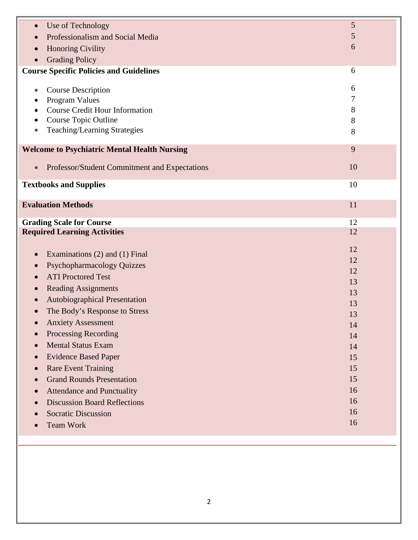| Use of Technology<br>$\bullet$                             | 5        |
|------------------------------------------------------------|----------|
| Professionalism and Social Media<br>$\bullet$              | 5        |
| <b>Honoring Civility</b>                                   | 6        |
| <b>Grading Policy</b>                                      |          |
| <b>Course Specific Policies and Guidelines</b>             | 6        |
|                                                            |          |
| <b>Course Description</b><br>$\bullet$                     | 6<br>7   |
| Program Values<br><b>Course Credit Hour Information</b>    | 8        |
| Course Topic Outline                                       | 8        |
| Teaching/Learning Strategies                               | 8        |
|                                                            |          |
| <b>Welcome to Psychiatric Mental Health Nursing</b>        | 9        |
|                                                            | 10       |
| Professor/Student Commitment and Expectations<br>$\bullet$ |          |
| <b>Textbooks and Supplies</b>                              | 10       |
|                                                            |          |
| <b>Evaluation Methods</b>                                  | 11       |
| <b>Grading Scale for Course</b>                            | 12       |
| <b>Required Learning Activities</b>                        | 12       |
|                                                            |          |
| Examinations (2) and (1) Final<br>$\bullet$                | 12       |
| <b>Psychopharmacology Quizzes</b><br>$\bullet$             | 12       |
| <b>ATI Proctored Test</b>                                  | 12       |
| <b>Reading Assignments</b><br>$\bullet$                    | 13<br>13 |
| Autobiographical Presentation<br>$\bullet$                 | 13       |
| The Body's Response to Stress                              | 13       |
| <b>Anxiety Assessment</b>                                  | 14       |
| <b>Processing Recording</b>                                | 14       |
| <b>Mental Status Exam</b><br>$\bullet$                     | 14       |
| <b>Evidence Based Paper</b><br>$\bullet$                   | 15       |
| <b>Rare Event Training</b><br>$\bullet$                    | 15       |
| <b>Grand Rounds Presentation</b>                           | 15       |
| <b>Attendance and Punctuality</b>                          | 16       |
| <b>Discussion Board Reflections</b><br>$\bullet$           | 16       |
| <b>Socratic Discussion</b>                                 | 16       |
| <b>Team Work</b>                                           | 16       |
|                                                            |          |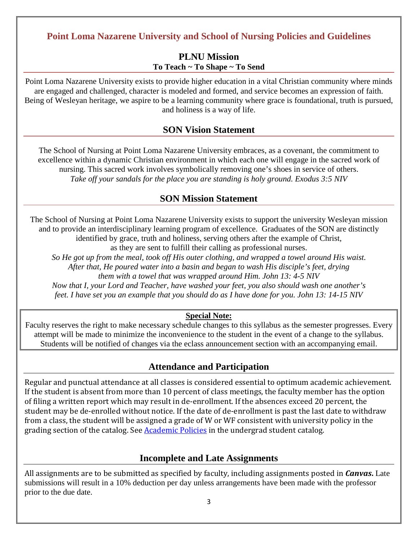# **Point Loma Nazarene University and School of Nursing Policies and Guidelines**

### **PLNU Mission To Teach ~ To Shape ~ To Send**

Point Loma Nazarene University exists to provide higher education in a vital Christian community where minds are engaged and challenged, character is modeled and formed, and service becomes an expression of faith. Being of Wesleyan heritage, we aspire to be a learning community where grace is foundational, truth is pursued, and holiness is a way of life.

### **SON Vision Statement**

The School of Nursing at Point Loma Nazarene University embraces, as a covenant, the commitment to excellence within a dynamic Christian environment in which each one will engage in the sacred work of nursing. This sacred work involves symbolically removing one's shoes in service of others. *Take off your sandals for the place you are standing is holy ground. Exodus 3:5 NIV*

### **SON Mission Statement**

The School of Nursing at Point Loma Nazarene University exists to support the university Wesleyan mission and to provide an interdisciplinary learning program of excellence. Graduates of the SON are distinctly identified by grace, truth and holiness, serving others after the example of Christ,

as they are sent to fulfill their calling as professional nurses.

*So He got up from the meal, took off His outer clothing, and wrapped a towel around His waist. After that, He poured water into a basin and began to wash His disciple's feet, drying them with a towel that was wrapped around Him. John 13: 4-5 NIV Now that I, your Lord and Teacher, have washed your feet, you also should wash one another's* 

*feet. I have set you an example that you should do as I have done for you. John 13: 14-15 NIV*

#### **Special Note:**

Faculty reserves the right to make necessary schedule changes to this syllabus as the semester progresses. Every attempt will be made to minimize the inconvenience to the student in the event of a change to the syllabus. Students will be notified of changes via the eclass announcement section with an accompanying email.

### **Attendance and Participation**

Regular and punctual attendance at all classes is considered essential to optimum academic achievement. If the student is absent from more than 10 percent of class meetings, the faculty member has the option of filing a written report which may result in de-enrollment. If the absences exceed 20 percent, the student may be de-enrolled without notice. If the date of de-enrollment is past the last date to withdraw from a class, the student will be assigned a grade of W or WF consistent with university policy in the grading section of the catalog. See [Academic Policies](http://www.pointloma.edu/experience/academics/catalogs/undergraduate-catalog/point-loma-education/academic-policies) in the undergrad student catalog.

### **Incomplete and Late Assignments**

All assignments are to be submitted as specified by faculty, including assignments posted in *Canvas***.** Late submissions will result in a 10% deduction per day unless arrangements have been made with the professor prior to the due date.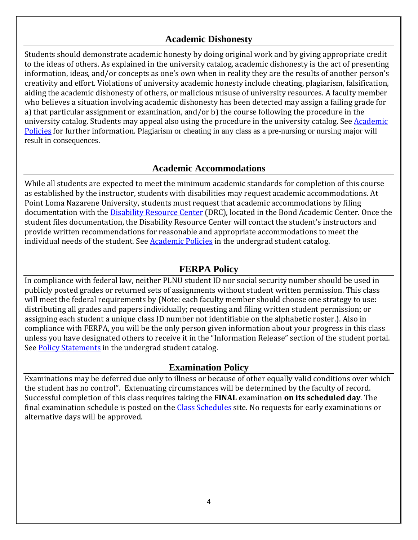# **Academic Dishonesty**

Students should demonstrate academic honesty by doing original work and by giving appropriate credit to the ideas of others. As explained in the university catalog, academic dishonesty is the act of presenting information, ideas, and/or concepts as one's own when in reality they are the results of another person's creativity and effort. Violations of university academic honesty include cheating, plagiarism, falsification, aiding the academic dishonesty of others, or malicious misuse of university resources. A faculty member who believes a situation involving academic dishonesty has been detected may assign a failing grade for a) that particular assignment or examination, and/or b) the course following the procedure in the university catalog. Students may appeal also using the procedure in the university catalog. See **Academic** [Policies](http://www.pointloma.edu/experience/academics/catalogs/undergraduate-catalog/point-loma-education/academic-policies) for further information. Plagiarism or cheating in any class as a pre-nursing or nursing major will result in consequences.

### **Academic Accommodations**

While all students are expected to meet the minimum academic standards for completion of this course as established by the instructor, students with disabilities may request academic accommodations. At Point Loma Nazarene University, students must request that academic accommodations by filing documentation with the **Disability Resource Center** (DRC), located in the Bond Academic Center. Once the student files documentation, the Disability Resource Center will contact the student's instructors and provide written recommendations for reasonable and appropriate accommodations to meet the individual needs of the student. Se[e Academic Policies](http://www.pointloma.edu/experience/academics/catalogs/undergraduate-catalog/point-loma-education/academic-policies) in the undergrad student catalog.

### **FERPA Policy**

In compliance with federal law, neither PLNU student ID nor social security number should be used in publicly posted grades or returned sets of assignments without student written permission. This class will meet the federal requirements by (Note: each faculty member should choose one strategy to use: distributing all grades and papers individually; requesting and filing written student permission; or assigning each student a unique class ID number not identifiable on the alphabetic roster.). Also in compliance with FERPA, you will be the only person given information about your progress in this class unless you have designated others to receive it in the "Information Release" section of the student portal. See [Policy Statements](http://www.pointloma.edu/experience/academics/catalogs/undergraduate-catalog/policy-statements) in the undergrad student catalog.

### **Examination Policy**

Examinations may be deferred due only to illness or because of other equally valid conditions over which the student has no control". Extenuating circumstances will be determined by the faculty of record. Successful completion of this class requires taking the **FINAL** examination **on its scheduled day**. The final examination schedule is posted on the [Class Schedules](http://www.pointloma.edu/experience/academics/class-schedules) site. No requests for early examinations or alternative days will be approved.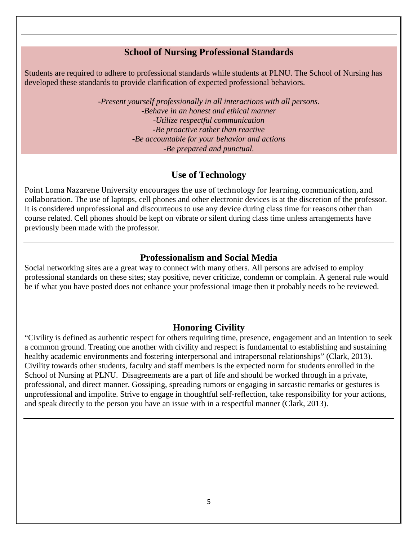### **School of Nursing Professional Standards**

Students are required to adhere to professional standards while students at PLNU. The School of Nursing has developed these standards to provide clarification of expected professional behaviors.

> -*Present yourself professionally in all interactions with all persons. -Behave in an honest and ethical manner -Utilize respectful communication -Be proactive rather than reactive -Be accountable for your behavior and actions -Be prepared and punctual.*

### **Use of Technology**

Point Loma Nazarene University encourages the use of technology for learning, communication, and collaboration. The use of laptops, cell phones and other electronic devices is at the discretion of the professor. It is considered unprofessional and discourteous to use any device during class time for reasons other than course related. Cell phones should be kept on vibrate or silent during class time unless arrangements have previously been made with the professor.

### **Professionalism and Social Media**

Social networking sites are a great way to connect with many others. All persons are advised to employ professional standards on these sites; stay positive, never criticize, condemn or complain. A general rule would be if what you have posted does not enhance your professional image then it probably needs to be reviewed.

### **Honoring Civility**

"Civility is defined as authentic respect for others requiring time, presence, engagement and an intention to seek a common ground. Treating one another with civility and respect is fundamental to establishing and sustaining healthy academic environments and fostering interpersonal and intrapersonal relationships" (Clark, 2013). Civility towards other students, faculty and staff members is the expected norm for students enrolled in the School of Nursing at PLNU. Disagreements are a part of life and should be worked through in a private, professional, and direct manner. Gossiping, spreading rumors or engaging in sarcastic remarks or gestures is unprofessional and impolite. Strive to engage in thoughtful self-reflection, take responsibility for your actions, and speak directly to the person you have an issue with in a respectful manner (Clark, 2013).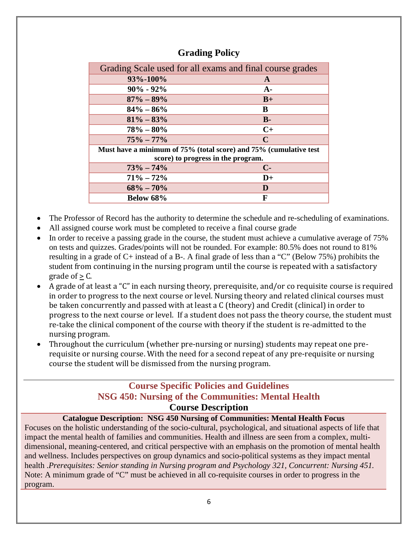| Grading Scale used for all exams and final course grades          |  |  |  |  |
|-------------------------------------------------------------------|--|--|--|--|
| A                                                                 |  |  |  |  |
| $A-$                                                              |  |  |  |  |
| $B+$                                                              |  |  |  |  |
| B                                                                 |  |  |  |  |
| $B -$                                                             |  |  |  |  |
| $C+$                                                              |  |  |  |  |
| $\mathcal{C}$                                                     |  |  |  |  |
| Must have a minimum of 75% (total score) and 75% (cumulative test |  |  |  |  |
| score) to progress in the program.                                |  |  |  |  |
| $C-$                                                              |  |  |  |  |
| $D+$                                                              |  |  |  |  |
| D                                                                 |  |  |  |  |
| F                                                                 |  |  |  |  |
|                                                                   |  |  |  |  |

### **Grading Policy**

- The Professor of Record has the authority to determine the schedule and re-scheduling of examinations.
- All assigned course work must be completed to receive a final course grade
- In order to receive a passing grade in the course, the student must achieve a cumulative average of 75% on tests and quizzes. Grades/points will not be rounded. For example: 80.5% does not round to 81% resulting in a grade of C+ instead of a B-. A final grade of less than a "C" (Below 75%) prohibits the student from continuing in the nursing program until the course is repeated with a satisfactory grade of  $> C$ .
- A grade of at least a "C" in each nursing theory, prerequisite, and/or co requisite course is required in order to progress to the next course or level. Nursing theory and related clinical courses must be taken concurrently and passed with at least a C (theory) and Credit (clinical) in order to progress to the next course or level. If a student does not pass the theory course, the student must re-take the clinical component of the course with theory if the student is re-admitted to the nursing program.
- Throughout the curriculum (whether pre-nursing or nursing) students may repeat one prerequisite or nursing course. With the need for a second repeat of any pre-requisite or nursing course the student will be dismissed from the nursing program.

# **Course Specific Policies and Guidelines NSG 450: Nursing of the Communities: Mental Health Course Description**

#### **Catalogue Description: NSG 450 Nursing of Communities: Mental Health Focus**

Focuses on the holistic understanding of the socio-cultural, psychological, and situational aspects of life that impact the mental health of families and communities. Health and illness are seen from a complex, multidimensional, meaning-centered, and critical perspective with an emphasis on the promotion of mental health and wellness. Includes perspectives on group dynamics and socio-political systems as they impact mental health .*Prerequisites: Senior standing in Nursing program and Psychology 321, Concurrent: Nursing 451.* Note: A minimum grade of "C" must be achieved in all co-requisite courses in order to progress in the program.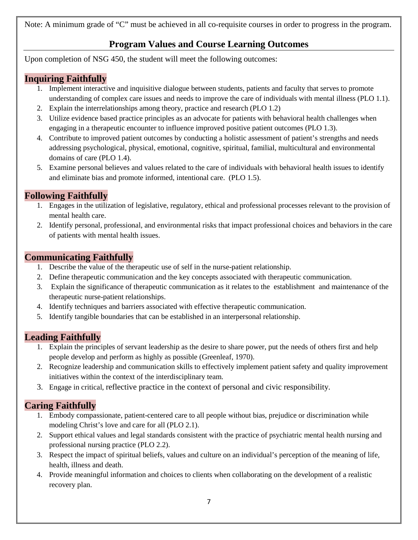Note: A minimum grade of "C" must be achieved in all co-requisite courses in order to progress in the program.

# **Program Values and Course Learning Outcomes**

Upon completion of NSG 450, the student will meet the following outcomes:

### **Inquiring Faithfully**

- 1. Implement interactive and inquisitive dialogue between students, patients and faculty that serves to promote understanding of complex care issues and needs to improve the care of individuals with mental illness (PLO 1.1).
- 2. Explain the interrelationships among theory, practice and research (PLO 1.2)
- 3. Utilize evidence based practice principles as an advocate for patients with behavioral health challenges when engaging in a therapeutic encounter to influence improved positive patient outcomes (PLO 1.3).
- 4. Contribute to improved patient outcomes by conducting a holistic assessment of patient's strengths and needs addressing psychological, physical, emotional, cognitive, spiritual, familial, multicultural and environmental domains of care (PLO 1.4).
- 5. Examine personal believes and values related to the care of individuals with behavioral health issues to identify and eliminate bias and promote informed, intentional care. (PLO 1.5).

### **Following Faithfully**

- 1. Engages in the utilization of legislative, regulatory, ethical and professional processes relevant to the provision of mental health care.
- 2. Identify personal, professional, and environmental risks that impact professional choices and behaviors in the care of patients with mental health issues.

### **Communicating Faithfully**

- 1. Describe the value of the therapeutic use of self in the nurse-patient relationship.
- 2. Define therapeutic communication and the key concepts associated with therapeutic communication.
- 3. Explain the significance of therapeutic communication as it relates to the establishment and maintenance of the therapeutic nurse-patient relationships.
- 4. Identify techniques and barriers associated with effective therapeutic communication.
- 5. Identify tangible boundaries that can be established in an interpersonal relationship.

### **Leading Faithfully**

- 1. Explain the principles of servant leadership as the desire to share power, put the needs of others first and help people develop and perform as highly as possible (Greenleaf, 1970).
- 2. Recognize leadership and communication skills to effectively implement patient safety and quality improvement initiatives within the context of the interdisciplinary team.
- 3. Engage in critical, reflective practice in the context of personal and civic responsibility.

### **Caring Faithfully**

- 1. Embody compassionate, patient-centered care to all people without bias, prejudice or discrimination while modeling Christ's love and care for all (PLO 2.1).
- 2. Support ethical values and legal standards consistent with the practice of psychiatric mental health nursing and professional nursing practice (PLO 2.2).
- 3. Respect the impact of spiritual beliefs, values and culture on an individual's perception of the meaning of life, health, illness and death.
- 4. Provide meaningful information and choices to clients when collaborating on the development of a realistic recovery plan.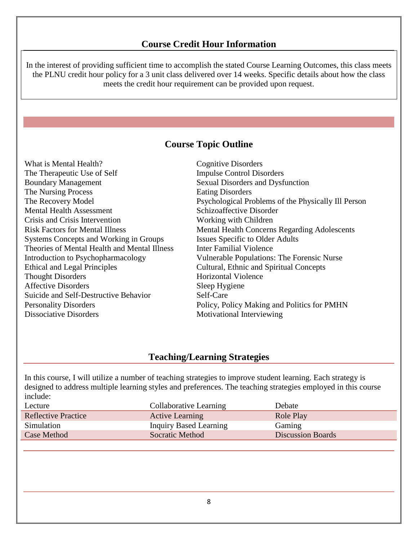### **Course Credit Hour Information**

In the interest of providing sufficient time to accomplish the stated Course Learning Outcomes, this class meets the PLNU credit hour policy for a 3 unit class delivered over 14 weeks. Specific details about how the class meets the credit hour requirement can be provided upon request.

# **Course Topic Outline**

| <b>Cognitive Disorders</b>                          |
|-----------------------------------------------------|
| <b>Impulse Control Disorders</b>                    |
| Sexual Disorders and Dysfunction                    |
| <b>Eating Disorders</b>                             |
| Psychological Problems of the Physically Ill Person |
| Schizoaffective Disorder                            |
| Working with Children                               |
| <b>Mental Health Concerns Regarding Adolescents</b> |
| Issues Specific to Older Adults                     |
| <b>Inter Familial Violence</b>                      |
| <b>Vulnerable Populations: The Forensic Nurse</b>   |
| Cultural, Ethnic and Spiritual Concepts             |
| <b>Horizontal Violence</b>                          |
| Sleep Hygiene                                       |
| Self-Care                                           |
| Policy, Policy Making and Politics for PMHN         |
| Motivational Interviewing                           |
|                                                     |

### **Teaching/Learning Strategies**

In this course, I will utilize a number of teaching strategies to improve student learning. Each strategy is designed to address multiple learning styles and preferences. The teaching strategies employed in this course include:

| Lecture                    | Collaborative Learning | Debate                   |
|----------------------------|------------------------|--------------------------|
| <b>Reflective Practice</b> | <b>Active Learning</b> | Role Play                |
| Simulation                 | Inquiry Based Learning | Gaming                   |
| <b>Case Method</b>         | Socratic Method        | <b>Discussion Boards</b> |
|                            |                        |                          |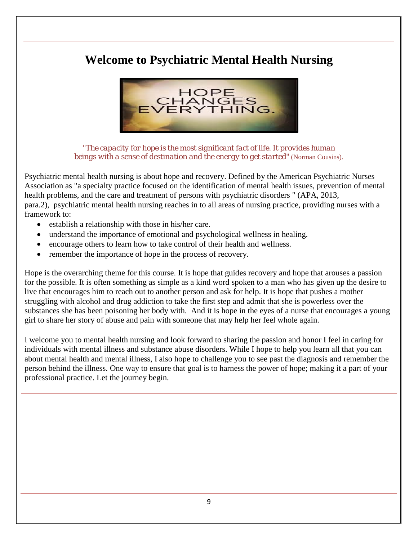# **Welcome to Psychiatric Mental Health Nursing**



*"The capacity for hope is the most significant fact of life. It provides human beings with a sense of destination and the energy to get started"* (Norman Cousins).

Psychiatric mental health nursing is about hope and recovery. Defined by the American Psychiatric Nurses Association as "a specialty practice focused on the identification of mental health issues, prevention of mental health problems, and the care and treatment of persons with psychiatric disorders " (APA, 2013, para.2), psychiatric mental health nursing reaches in to all areas of nursing practice, providing nurses with a framework to:

- establish a relationship with those in his/her care.
- understand the importance of emotional and psychological wellness in healing.
- encourage others to learn how to take control of their health and wellness.
- remember the importance of hope in the process of recovery.

Hope is the overarching theme for this course. It is hope that guides recovery and hope that arouses a passion for the possible. It is often something as simple as a kind word spoken to a man who has given up the desire to live that encourages him to reach out to another person and ask for help. It is hope that pushes a mother struggling with alcohol and drug addiction to take the first step and admit that she is powerless over the substances she has been poisoning her body with. And it is hope in the eyes of a nurse that encourages a young girl to share her story of abuse and pain with someone that may help her feel whole again.

I welcome you to mental health nursing and look forward to sharing the passion and honor I feel in caring for individuals with mental illness and substance abuse disorders. While I hope to help you learn all that you can about mental health and mental illness, I also hope to challenge you to see past the diagnosis and remember the person behind the illness. One way to ensure that goal is to harness the power of hope; making it a part of your professional practice. Let the journey begin.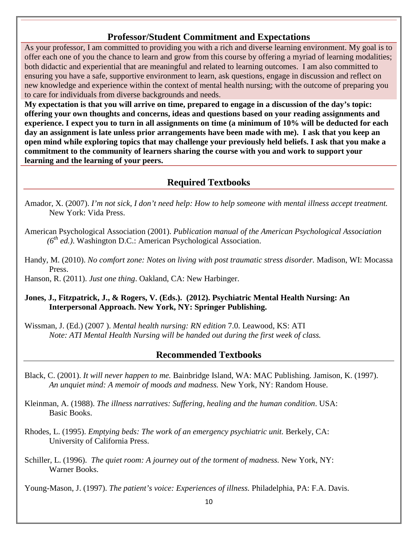### **Professor/Student Commitment and Expectations**

As your professor, I am committed to providing you with a rich and diverse learning environment. My goal is to offer each one of you the chance to learn and grow from this course by offering a myriad of learning modalities; both didactic and experiential that are meaningful and related to learning outcomes. I am also committed to ensuring you have a safe, supportive environment to learn, ask questions, engage in discussion and reflect on new knowledge and experience within the context of mental health nursing; with the outcome of preparing you to care for individuals from diverse backgrounds and needs.

**My expectation is that you will arrive on time, prepared to engage in a discussion of the day's topic: offering your own thoughts and concerns, ideas and questions based on your reading assignments and experience. I expect you to turn in all assignments on time (a minimum of 10% will be deducted for each day an assignment is late unless prior arrangements have been made with me). I ask that you keep an open mind while exploring topics that may challenge your previously held beliefs. I ask that you make a commitment to the community of learners sharing the course with you and work to support your learning and the learning of your peers.** 

### **Required Textbooks**

- Amador, X. (2007). *I'm not sick, I don't need help: How to help someone with mental illness accept treatment.* New York: Vida Press.
- American Psychological Association (2001). *Publication manual of the American Psychological Association (6th ed.)*. Washington D.C.: American Psychological Association.
- Handy, M. (2010). *No comfort zone: Notes on living with post traumatic stress disorder.* Madison, WI: Mocassa Press.

Hanson, R. (2011). *Just one thing*. Oakland, CA: New Harbinger.

#### **Jones, J., Fitzpatrick, J., & Rogers, V. (Eds.). (2012). Psychiatric Mental Health Nursing: An Interpersonal Approach. New York, NY: Springer Publishing.**

Wissman, J. (Ed.) (2007 ). *Mental health nursing: RN edition* 7.0. Leawood, KS: ATI *Note: ATI Mental Health Nursing will be handed out during the first week of class.* 

### **Recommended Textbooks**

- Black, C. (2001). *It will never happen to me.* Bainbridge Island, WA: MAC Publishing. Jamison, K. (1997). *An unquiet mind: A memoir of moods and madness.* New York, NY: Random House.
- Kleinman, A. (1988). *The illness narratives: Suffering, healing and the human condition*. USA: Basic Books.
- Rhodes, L. (1995). *Emptying beds: The work of an emergency psychiatric unit.* Berkely, CA: University of California Press.
- Schiller, L. (1996). *The quiet room: A journey out of the torment of madness.* New York, NY: Warner Books.

Young-Mason, J. (1997). *The patient's voice: Experiences of illness.* Philadelphia, PA: F.A. Davis.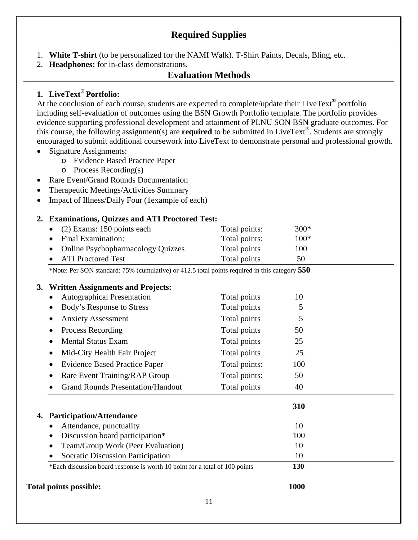# **Required Supplies**

- 1. **White T-shirt** (to be personalized for the NAMI Walk). T-Shirt Paints, Decals, Bling, etc.
- 2. **Headphones:** for in-class demonstrations.

### **Evaluation Methods**

### **1. LiveText® Portfolio:**

At the conclusion of each course, students are expected to complete/update their LiveText<sup>®</sup> portfolio including self-evaluation of outcomes using the BSN Growth Portfolio template. The portfolio provides evidence supporting professional development and attainment of PLNU SON BSN graduate outcomes. For this course, the following assignment(s) are **required** to be submitted in LiveText®. Students are strongly encouraged to submit additional coursework into LiveText to demonstrate personal and professional growth.

- Signature Assignments:
	- o Evidence Based Practice Paper
	- o Process Recording(s)
- Rare Event/Grand Rounds Documentation
- Therapeutic Meetings/Activities Summary
- Impact of Illness/Daily Four (1example of each)

#### **2. Examinations, Quizzes and ATI Proctored Test:**

| • $(2)$ Exams: 150 points each      | Total points: | $300*$ |
|-------------------------------------|---------------|--------|
| • Final Examination:                | Total points: | $100*$ |
| • Online Psychopharmacology Quizzes | Total points  | 100    |
| • ATI Proctored Test                | Total points  | 50     |

\*Note: Per SON standard: 75% (cumulative) or 412.5 total points required in this category **550**

#### **3. Written Assignments and Projects:**

| <b>Total points possible:</b>                                               |               | 1000 |  |
|-----------------------------------------------------------------------------|---------------|------|--|
| *Each discussion board response is worth 10 point for a total of 100 points |               | 130  |  |
| <b>Socratic Discussion Participation</b>                                    | 10            |      |  |
| Team/Group Work (Peer Evaluation)                                           |               | 10   |  |
| Discussion board participation*<br>$\bullet$                                |               | 100  |  |
| Attendance, punctuality                                                     |               | 10   |  |
| <b>Participation/Attendance</b><br>4.                                       |               |      |  |
|                                                                             |               | 310  |  |
| <b>Grand Rounds Presentation/Handout</b>                                    | Total points  | 40   |  |
| Rare Event Training/RAP Group                                               | Total points: | 50   |  |
| <b>Evidence Based Practice Paper</b>                                        | Total points: | 100  |  |
| Mid-City Health Fair Project                                                | Total points  | 25   |  |
| <b>Mental Status Exam</b><br>$\bullet$                                      | Total points  | 25   |  |
| Process Recording                                                           | Total points  | 50   |  |
| <b>Anxiety Assessment</b>                                                   | Total points  | 5    |  |
| Body's Response to Stress                                                   | Total points  | 5    |  |
| <b>Autographical Presentation</b>                                           | Total points  | 10   |  |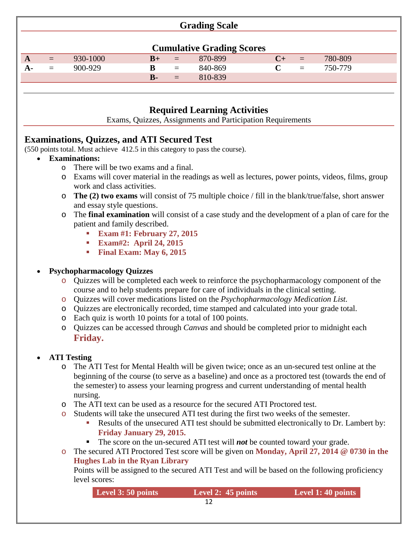### **Grading Scale**

|   |          |          |            |          | <b>Cumulative Grading Scores</b> |          |         |
|---|----------|----------|------------|----------|----------------------------------|----------|---------|
| A | $\equiv$ | 930-1000 | $R+$       | $=$      | 870-899                          | $\equiv$ | 780-809 |
|   | $=$      | 900-929  | В          | $\equiv$ | 840-869                          | $\equiv$ | 750-779 |
|   |          |          | $\bf{B}$ - | $=$      | 810-839                          |          |         |

# **Required Learning Activities**

Exams, Quizzes, Assignments and Participation Requirements

# **Examinations, Quizzes, and ATI Secured Test**

(550 points total. Must achieve 412.5 in this category to pass the course).

- **Examinations:**
	- o There will be two exams and a final.
	- o Exams will cover material in the readings as well as lectures, power points, videos, films, group work and class activities.
	- o **The (2) two exams** will consist of 75 multiple choice / fill in the blank/true/false, short answer and essay style questions.
	- o The **final examination** will consist of a case study and the development of a plan of care for the patient and family described.
		- **Exam #1: February 27, 2015**
		- **Exam#2: April 24, 2015**
		- **Final Exam: May 6, 2015**

#### • **Psychopharmacology Quizzes**

- o Quizzes will be completed each week to reinforce the psychopharmacology component of the course and to help students prepare for care of individuals in the clinical setting.
- o Quizzes will cover medications listed on the *Psychopharmacology Medication List.*
- o Quizzes are electronically recorded, time stamped and calculated into your grade total.
- o Each quiz is worth 10 points for a total of 100 points.
- o Quizzes can be accessed through *Canvas* and should be completed prior to midnight each **Friday.**

### • **ATI Testing**

- o The ATI Test for Mental Health will be given twice; once as an un-secured test online at the beginning of the course (to serve as a baseline) and once as a proctored test (towards the end of the semester) to assess your learning progress and current understanding of mental health nursing.
- o The ATI text can be used as a resource for the secured ATI Proctored test.
- o Students will take the unsecured ATI test during the first two weeks of the semester.
	- Results of the unsecured ATI test should be submitted electronically to Dr. Lambert by: **Friday January 29, 2015.**
	- The score on the un-secured ATI test will *not* be counted toward your grade.
- o The secured ATI Proctored Test score will be given on **Monday, April 27, 2014 @ 0730 in the Hughes Lab in the Ryan Library**

Points will be assigned to the secured ATI Test and will be based on the following proficiency level scores:

| Level 3: 50 points | Level 2: 45 points | Level 1: 40 points |
|--------------------|--------------------|--------------------|
|--------------------|--------------------|--------------------|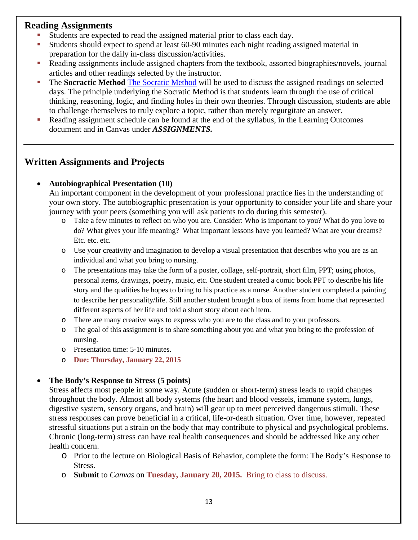### **Reading Assignments**

- Students are expected to read the assigned material prior to class each day.
- Students should expect to spend at least 60-90 minutes each night reading assigned material in preparation for the daily in-class discussion/activities.
- Reading assignments include assigned chapters from the textbook, assorted biographies/novels, journal articles and other readings selected by the instructor.
- The **Socractic Method** The Socratic Method will be used to discuss the assigned readings on selected days. The principle underlying the Socratic Method is that students learn through the use of critical thinking, reasoning, logic, and finding holes in their own theories. Through discussion, students are able to challenge themselves to truly explore a topic, rather than merely regurgitate an answer.
- Reading assignment schedule can be found at the end of the syllabus, in the Learning Outcomes document and in Canvas under *ASSIGNMENTS.*

### **Written Assignments and Projects**

#### • **Autobiographical Presentation (10)**

An important component in the development of your professional practice lies in the understanding of your own story. The autobiographic presentation is your opportunity to consider your life and share your journey with your peers (something you will ask patients to do during this semester).

- o Take a few minutes to reflect on who you are. Consider: Who is important to you? What do you love to do? What gives your life meaning? What important lessons have you learned? What are your dreams? Etc. etc. etc.
- o Use your creativity and imagination to develop a visual presentation that describes who you are as an individual and what you bring to nursing.
- o The presentations may take the form of a poster, collage, self-portrait, short film, PPT; using photos, personal items, drawings, poetry, music, etc. One student created a comic book PPT to describe his life story and the qualities he hopes to bring to his practice as a nurse. Another student completed a painting to describe her personality/life. Still another student brought a box of items from home that represented different aspects of her life and told a short story about each item.
- o There are many creative ways to express who you are to the class and to your professors.
- o The goal of this assignment is to share something about you and what you bring to the profession of nursing.
- o Presentation time: 5-10 minutes.
- o **Due: Thursday, January 22, 2015**

#### • **The Body's Response to Stress (5 points)**

Stress affects most people in some way. Acute (sudden or short-term) stress leads to rapid changes throughout the body. Almost all body systems (the heart and blood vessels, immune system, lungs, digestive system, sensory organs, and brain) will gear up to meet perceived dangerous stimuli. These stress responses can prove beneficial in a critical, life-or-death situation. Over time, however, repeated stressful situations put a strain on the body that may contribute to physical and psychological problems. Chronic (long-term) stress can have real health consequences and should be addressed like any other health concern.

- o Prior to the lecture on Biological Basis of Behavior, complete the form: The Body's Response to Stress.
- o **Submit** to *Canvas* on **Tuesday, January 20, 2015.** Bring to class to discuss.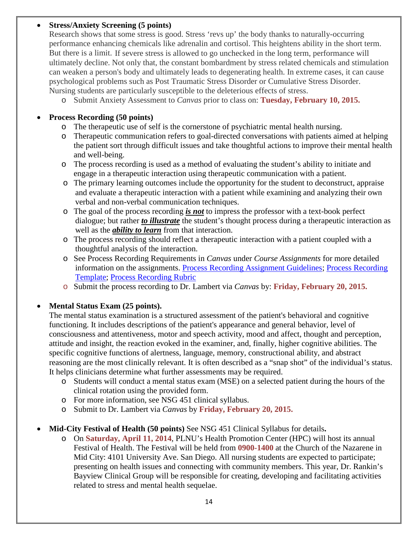#### • **Stress/Anxiety Screening (5 points)**

Research shows that some stress is good. Stress 'revs up' the body thanks to naturally-occurring performance enhancing chemicals like adrenalin and cortisol. This heightens ability in the short term. But there is a limit. If severe stress is allowed to go unchecked in the long term, performance will ultimately decline. Not only that, the constant bombardment by stress related chemicals and stimulation can weaken a person's body and ultimately leads to degenerating health. In extreme cases, it can cause psychological problems such as Post Traumatic Stress Disorder or Cumulative Stress Disorder. Nursing students are particularly susceptible to the deleterious effects of stress.

o Submit Anxiety Assessment to *Canvas* prior to class on: **Tuesday, February 10, 2015.**

#### • **Process Recording (50 points)**

- o The therapeutic use of self is the cornerstone of psychiatric mental health nursing.
- o Therapeutic communication refers to goal-directed conversations with patients aimed at helping the patient sort through difficult issues and take thoughtful actions to improve their mental health and well-being.
- o The process recording is used as a method of evaluating the student's ability to initiate and engage in a therapeutic interaction using therapeutic communication with a patient.
- o The primary learning outcomes include the opportunity for the student to deconstruct, appraise and evaluate a therapeutic interaction with a patient while examining and analyzing their own verbal and non-verbal communication techniques.
- o The goal of the process recording *is not* to impress the professor with a text-book perfect dialogue; but rather *to illustrate* the student's thought process during a therapeutic interaction as well as the *ability to learn* from that interaction.
- o The process recording should reflect a therapeutic interaction with a patient coupled with a thoughtful analysis of the interaction.
- o See Process Recording Requirements in *Canvas* under *Course Assignments* for more detailed information on the assignments. Process Recording Assignment Guidelines; Process Recording Template; Process Recording Rubric
- o Submit the process recording to Dr. Lambert via *Canvas* by: **Friday, February 20, 2015.**

#### • **Mental Status Exam (25 points).**

The mental status examination is a structured assessment of the patient's behavioral and cognitive functioning. It includes descriptions of the patient's appearance and general behavior, level of consciousness and attentiveness, motor and speech activity, mood and affect, thought and perception, attitude and insight, the reaction evoked in the examiner, and, finally, higher cognitive abilities. The specific cognitive functions of alertness, language, memory, constructional ability, and abstract reasoning are the most clinically relevant. It is often described as a "snap shot" of the individual's status. It helps clinicians determine what further assessments may be required.

- o Students will conduct a mental status exam (MSE) on a selected patient during the hours of the clinical rotation using the provided form.
- o For more information, see NSG 451 clinical syllabus.
- o Submit to Dr. Lambert via *Canvas* by **Friday, February 20, 2015.**

#### • **Mid-City Festival of Health (50 points)** See NSG 451 Clinical Syllabus for details**.**

o On **Saturday, April 11, 2014**, PLNU's Health Promotion Center (HPC) will host its annual Festival of Health. The Festival will be held from **0900-1400** at the Church of the Nazarene in Mid City: 4101 University Ave. San Diego. All nursing students are expected to participate; presenting on health issues and connecting with community members. This year, Dr. Rankin's Bayview Clinical Group will be responsible for creating, developing and facilitating activities related to stress and mental health sequelae.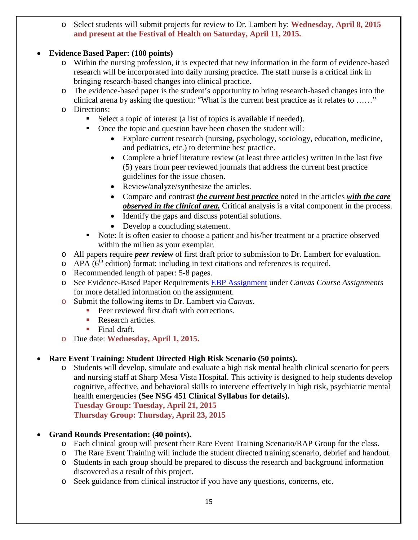o Select students will submit projects for review to Dr. Lambert by: **Wednesday, April 8, 2015 and present at the Festival of Health on Saturday, April 11, 2015.** 

### • **Evidence Based Paper: (100 points)**

- o Within the nursing profession, it is expected that new information in the form of evidence-based research will be incorporated into daily nursing practice. The staff nurse is a critical link in bringing research-based changes into clinical practice.
- o The evidence-based paper is the student's opportunity to bring research-based changes into the clinical arena by asking the question: "What is the current best practice as it relates to ……"
- o Directions:
	- Select a topic of interest (a list of topics is available if needed).
	- Once the topic and question have been chosen the student will:
		- Explore current research (nursing, psychology, sociology, education, medicine, and pediatrics, etc.) to determine best practice.
		- Complete a brief literature review (at least three articles) written in the last five (5) years from peer reviewed journals that address the current best practice guidelines for the issue chosen.
		- Review/analyze/synthesize the articles.
		- Compare and contrast *the current best practice* noted in the articles *with the care observed in the clinical area.* Critical analysis is a vital component in the process.
		- Identify the gaps and discuss potential solutions.
		- Develop a concluding statement.
	- Note: It is often easier to choose a patient and his/her treatment or a practice observed within the milieu as your exemplar.
- o All papers require *peer review* of first draft prior to submission to Dr. Lambert for evaluation.
- $\circ$  APA ( $6<sup>th</sup>$  edition) format; including in text citations and references is required.
- o Recommended length of paper: 5-8 pages.
- o See Evidence-Based Paper Requirements EBP Assignment under *Canvas Course Assignments* for more detailed information on the assignment.
- o Submit the following items to Dr. Lambert via *Canvas*.
	- Peer reviewed first draft with corrections.
	- Research articles.
	- $\blacksquare$  Final draft.
- o Due date: **Wednesday, April 1, 2015.**

### • **Rare Event Training: Student Directed High Risk Scenario (50 points).**

o Students will develop, simulate and evaluate a high risk mental health clinical scenario for peers and nursing staff at Sharp Mesa Vista Hospital. This activity is designed to help students develop cognitive, affective, and behavioral skills to intervene effectively in high risk, psychiatric mental health emergencies **(See NSG 451 Clinical Syllabus for details). Tuesday Group: Tuesday, April 21, 2015 Thursday Group: Thursday, April 23, 2015**

• **Grand Rounds Presentation: (40 points).**

- o Each clinical group will present their Rare Event Training Scenario/RAP Group for the class.
- o The Rare Event Training will include the student directed training scenario, debrief and handout.
- o Students in each group should be prepared to discuss the research and background information discovered as a result of this project.
- o Seek guidance from clinical instructor if you have any questions, concerns, etc.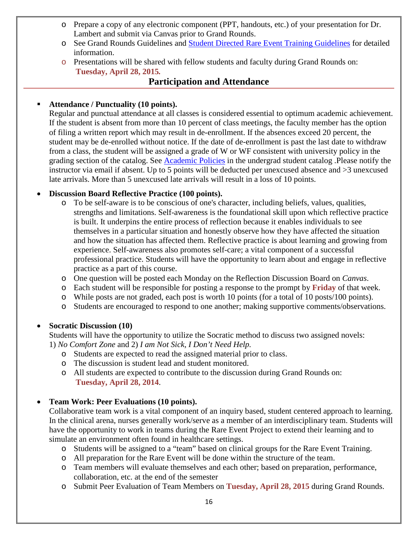- o Prepare a copy of any electronic component (PPT, handouts, etc.) of your presentation for Dr. Lambert and submit via Canvas prior to Grand Rounds.
- o See Grand Rounds Guidelines and Student Directed Rare Event Training Guidelines for detailed information.
- o Presentations will be shared with fellow students and faculty during Grand Rounds on: **Tuesday, April 28, 2015***.*

### **Participation and Attendance**

#### **Attendance / Punctuality (10 points).**

Regular and punctual attendance at all classes is considered essential to optimum academic achievement. If the student is absent from more than 10 percent of class meetings, the faculty member has the option of filing a written report which may result in de-enrollment. If the absences exceed 20 percent, the student may be de-enrolled without notice. If the date of de-enrollment is past the last date to withdraw from a class, the student will be assigned a grade of W or WF consistent with university policy in the grading section of the catalog. See [Academic Policies](http://www.pointloma.edu/experience/academics/catalogs/undergraduate-catalog/point-loma-education/academic-policies) in the undergrad student catalog .Please notify the instructor via email if absent. Up to 5 points will be deducted per unexcused absence and >3 unexcused late arrivals. More than 5 unexcused late arrivals will result in a loss of 10 points.

#### • **Discussion Board Reflective Practice (100 points).**

- o To be self-aware is to be conscious of one's character, including beliefs, values, qualities, strengths and limitations. Self-awareness is the foundational skill upon which reflective practice is built. It underpins the entire process of reflection because it enables individuals to see themselves in a particular situation and honestly observe how they have affected the situation and how the situation has affected them. Reflective practice is about learning and growing from experience. Self-awareness also promotes self-care; a vital component of a successful professional practice. Students will have the opportunity to learn about and engage in reflective practice as a part of this course.
- o One question will be posted each Monday on the Reflection Discussion Board on *Canvas*.
- o Each student will be responsible for posting a response to the prompt by **Friday** of that week.
- o While posts are not graded, each post is worth 10 points (for a total of 10 posts/100 points).
- o Students are encouraged to respond to one another; making supportive comments/observations.

#### • **Socratic Discussion (10)**

Students will have the opportunity to utilize the Socratic method to discuss two assigned novels: 1) *No Comfort Zone* and 2) *I am Not Sick, I Don't Need Help.* 

- o Students are expected to read the assigned material prior to class.
- o The discussion is student lead and student monitored.
- o All students are expected to contribute to the discussion during Grand Rounds on: **Tuesday, April 28, 2014**.

### • **Team Work: Peer Evaluations (10 points).**

Collaborative team work is a vital component of an inquiry based, student centered approach to learning. In the clinical arena, nurses generally work/serve as a member of an interdisciplinary team. Students will have the opportunity to work in teams during the Rare Event Project to extend their learning and to simulate an environment often found in healthcare settings.

- o Students will be assigned to a "team" based on clinical groups for the Rare Event Training.
- o All preparation for the Rare Event will be done within the structure of the team.
- o Team members will evaluate themselves and each other; based on preparation, performance, collaboration, etc. at the end of the semester
- o Submit Peer Evaluation of Team Members on **Tuesday, April 28, 2015** during Grand Rounds.